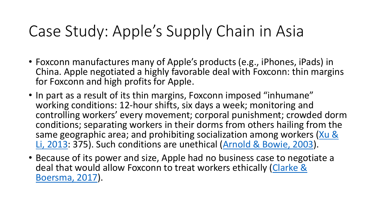### Case Study: Apple's Supply Chain in Asia

- Foxconn manufactures many of Apple's products (e.g., iPhones, iPads) in China. Apple negotiated a highly favorable deal with Foxconn: thin margins for Foxconn and high profits for Apple.
- In part as a result of its thin margins, Foxconn imposed "inhumane" working conditions: 12-hour shifts, six days a week; monitoring and controlling workers' every movement; corporal punishment; crowded dorm conditions; separating workers in their dorms from others hailing from the same geographic area; and prohibiting socialization among workers (Xu & Li, 2013: 375). Such conditions are unethical [\(Arnold & Bowie, 2003](https://www.jstor.org/stable/pdf/3857660.pdf?casa_token=bCO8CbVX42cAAAAA:czVEpeqziRNgAhTPgkSEIe_WPLxkZoDTvVEPeRg7VOsvLFlHPRZWH6udKmZS_mDoxcU7UzP10T3fzwULZo0FF5wgKYM1upPN26H0R8r85yJ601_vvndT)).
- Because of its power and size, Apple had no business case to negotiate a [deal that would allow Foxconn to treat workers ethically \(Clarke &](https://www.jstor.org/stable/pdf/44253102.pdf?casa_token=AW4ReWfBtukAAAAA:v6PAfPfT4U5mhobegTFHFmQNd9urB0DS6uVlDzIGftzbw7LRj5swUN_5Pr02jF-NREjbNT7QgOE_jI4a_x70It3F2jkqodM2y_0obr4VQb2g6lxcPEOs)  Boersma, 2017).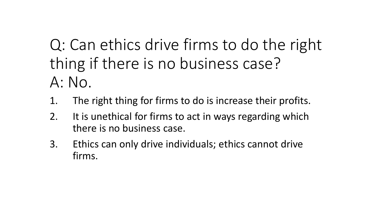Q: Can ethics drive firms to do the right thing if there is no business case? A: No.

- 1. The right thing for firms to do is increase their profits.
- 2. It is unethical for firms to act in ways regarding which there is no business case.
- 3. Ethics can only drive individuals; ethics cannot drive firms.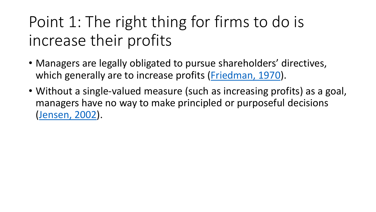# Point 1: The right thing for firms to do is increase their profits

- Managers are legally obligated to pursue shareholders' directives, which generally are to increase profits ([Friedman, 1970](https://www.nytimes.com/1970/09/13/archives/a-friedman-doctrine-the-social-responsibility-of-business-is-to.html)).
- Without a single-valued measure (such as increasing profits) as a goal, managers have no way to make principled or purposeful decisions ([Jensen, 2002\)](https://www.jstor.org/stable/pdf/3857812.pdf).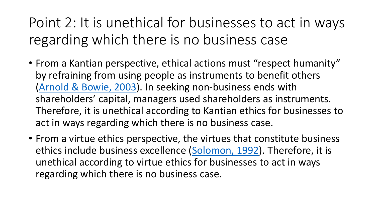Point 2: It is unethical for businesses to act in ways regarding which there is no business case

- From a Kantian perspective, ethical actions must "respect humanity" by refraining from using people as instruments to benefit others ([Arnold & Bowie, 2003](https://www.jstor.org/stable/pdf/3857660.pdf?casa_token=bCO8CbVX42cAAAAA:czVEpeqziRNgAhTPgkSEIe_WPLxkZoDTvVEPeRg7VOsvLFlHPRZWH6udKmZS_mDoxcU7UzP10T3fzwULZo0FF5wgKYM1upPN26H0R8r85yJ601_vvndT)). In seeking non-business ends with shareholders' capital, managers used shareholders as instruments. Therefore, it is unethical according to Kantian ethics for businesses to act in ways regarding which there is no business case.
- From a virtue ethics perspective, the virtues that constitute business ethics include business excellence ([Solomon, 1992](https://www.jstor.org/stable/pdf/3857536.pdf?casa_token=Z8Wo-67gRcMAAAAA:zqRYs8CS6ia0RN6bflaPlSRdhlgnu4tPcvvrdjJiZqNuBJzzCE4mlX5RApiQCLTCBGS2_ozAwXQzNRa1vDq5GUEnzWTPGZOCn9tAPWsnaJAzbnEMws84)). Therefore, it is unethical according to virtue ethics for businesses to act in ways regarding which there is no business case.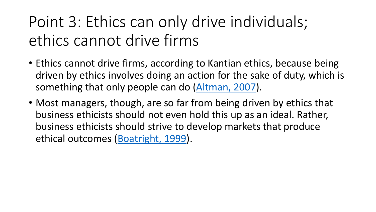# Point 3: Ethics can only drive individuals; ethics cannot drive firms

- Ethics cannot drive firms, according to Kantian ethics, because being driven by ethics involves doing an action for the sake of duty, which is something that only people can do ([Altman, 2007\)](https://www.jstor.org/stable/pdf/25075463.pdf?casa_token=AESBLIj3blIAAAAA:kJISzXy39XyGiVwnBjYJCNALnEfIVgA7jZ7iIZIzGbFCcBk7LxInBnL07uzVHR3B9RY9t_V-HgBbyQVAXfzgTRnCqYZxLYYwQDwagBRtcme7lj-shiB_).
- Most managers, though, are so far from being driven by ethics that business ethicists should not even hold this up as an ideal. Rather, business ethicists should strive to develop markets that produce ethical outcomes [\(Boatright, 1999\)](https://www.jstor.org/stable/pdf/3857936.pdf?casa_token=02HH7ot6sY4AAAAA:q73reFXmcCP_11o8ovY6RdAyD492WsAnbSw8zltYP1QyS6WaPeDuqCafj7kHyoZNyGnaBv0Ww6YJmw9aGrClVDBLMASujP4VH0LPqCXrf2gQWZM4Tglo).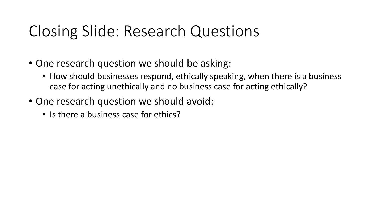#### Closing Slide: Research Questions

- One research question we should be asking:
	- How should businesses respond, ethically speaking, when there is a business case for acting unethically and no business case for acting ethically?
- One research question we should avoid:
	- Is there a business case for ethics?